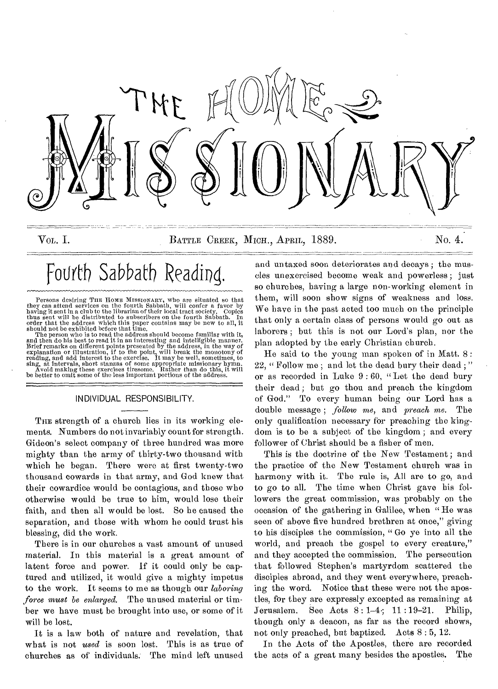

VOL. I. BATTLE CREEK, MICH., APRIL, 1889. No. 4.

# Fourth Sabbath Reading,

Persons desiring THE HOME MISSIONARY, who are situated so that<br>they can attend services on the of fourth Sabbath, will confer a favor by<br>having it sent in a club to the librarian of their local tract society. Copics<br>thus s

#### INDIVIDUAL RESPONSIBILITY.

THE strength of a church lies in its working elements. Numbers do not invariably count for strength. Gideon's select company of three hundred was more mighty than the army of thirty-two thousand with which he began. There were at first twenty-two thousand cowards in that army, and God knew that their cowardice would be contagious, and those who otherwise would be true to him, would lose their faith, and then all would be lost. So be caused the separation, and those with whom he could trust his blessing, did the work.

There is in our churches a vast amount of unused material. In this material is a great amount of latent force and power. If it could only be captured and utilized, it would give a mighty impetus to the work. It seems to me as though our *laboring force must be enlarged.* The unused material or timber we have must be brought into use, or some of it will be lost.

It is a law both of nature and revelation, that what is not *used* is soon lost. This is as true of churches as of individuals. The mind left unused

and untaxed soon deteriorates and decays ; the muscles unexercised become weak and powerless ; just so churches, having a large non-working element in them, will soon show signs of weakness and loss. We have in the past acted too much on the principle that only a certain class of persons would go out as laborers ; but this is not our Lord's plan, nor the plan adopted by the early Christian church.

He said to the young man spoken of in Matt. 8 : 22, " Follow me; and let the dead bury their dead;" or as recorded in Luke 9 : 60, "Let the dead bury their dead ; but go thou and preach the kingdom of God." To every human being our Lord has a double message ; *follow me,* and *preach me.* The only qualification necessary for preaching the kingdom is to be a subject of the kingdom ; and every follower of Christ should be a fisher of men.

This is the doctrine of the New Testament; and the practice of the New Testament church was in harmony with it. The rule is, All are to go, and to go to all. The time when Christ gave his followers the great commission, was probably on the occasion of the gathering in Galilee, when " He was seen of above five hundred brethren at once," giving to his disciples the commission, " Go ye into all the world, and preach the gospel to every creature," and they accepted the commission. The persecution that followed Stephen's martyrdom scattered the disciples abroad, and they went everywhere, preaching the word. Notice that these were not the apostles, for they are expressly excepted as remaining at Jerusalem. See Acts 8:1-4; 11 :19-21. Philip, though only a deacon, as far as the record shows, not only preached, but baptized. Acts 8 : 5, 12.

In the Acts of the Apostles, there are recorded the acts of a great many besides the apostles. The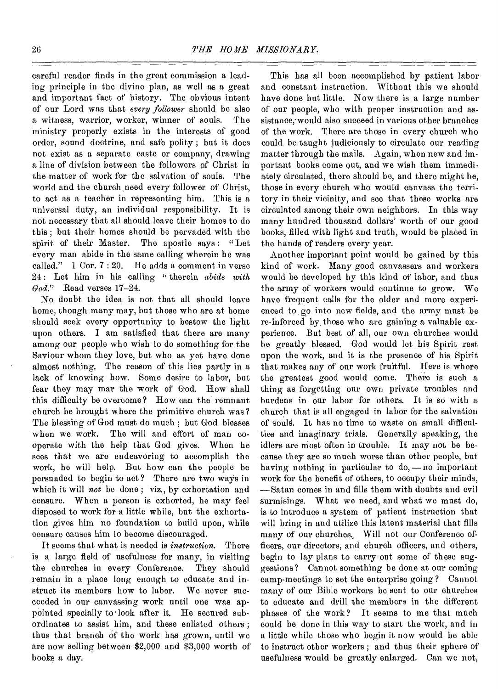careful reader finds in the great commission a leading principle in the divine plan, as well as a great and important fact of history. The obvious intent of our Lord was that *every follower* should be also a witness, warrior, worker, winner of souls. The ministry properly exists in the interests of good order, sound doctrine, and safe polity ; but it does not exist as a separate caste or company, drawing a line of division between the followers of Christ in the matter of work for the salvation of souls. The world and the church need every follower of Christ, to act as a teacher in representing him. This is a universal duty, an individual responsibility. It is not necessary that all should leave their homes to do this ; but their homes should be pervaded with the spirit of their Master. The apostle says: "Let every man abide in the same calling wherein he was called." 1 Cor. 7 : 20. He adds a comment in verse 24 : Let him in his calling " therein *abide with God."* Read verses 17-24.

No doubt the idea is not that all should leave home, though many may, but those who are at home should seek every opportunity to bestow the light upon others. I am satisfied that there are many among our people who wish to do something for the Saviour whom they love, but who as yet have done almost nothing. The reason of this lies partly in a lack of knowing how. Some desire to labor, but fear they may mar the work of God. How shall this difficulty bo overcome? How can the remnant church be brought where the primitive church was? The blessing of God must do much ; but God blesses when we work. The will and effort of man cooperate with the help that God gives. When he sees that we are endeavoring to accomplish the work, he will help. But how can the people be persuaded to begin to act ? There are two ways in which it will *not* be done; viz., by exhortation and censure. When a person is exhorted, he may feel disposed to work for a little while, but the exhortation gives him no foundation to build upon, while censure causes him to become discouraged.

It seems that what is needed is *instruction.* There is a large field of usefulness for many, in visiting the churches in every Conference. They should remain in a place long enough to educate and instruct its members how to labor. We never succeeded in our canvassing work until one was appointed specially to look after it. He secured subordinates to assist him, and these enlisted others ; thus that branch of the work has grown, until we are now selling between \$2,000 and \$3,000 worth of books a day.

This has all been accomplished by patient labor and constant instruction. Without this we should have done but little. Now there is a large number of our people, who with proper instruction and assistance, would also succeed in various other branches of the work. There are those in every church who could be taught judiciously to circulate our reading matter through the mails. Again, when new and important books come out, and we wish them immediately circulated, there should be, and there might be, those in every church who would canvass the territory in their vicinity, and see that these works are circulated among their own neighbors. In this way many hundred thousand dollars' worth of our good books, filled with light and truth, would be placed in the hands of readers every year.

Another important point would be gained by this kind of work. Many good canvassers and workers would be developed by this kind of labor, and thus the army of workers would continue to grow. We have frequent calls for the older and more experienced to go into new fields, and the army must be re-inforced by those who arc gaining a valuable experience. But best of all, our own churches would be greatly blessed. God would let his Spirit rest upon the work, and it is the presence of his Spirit that makes any of our work fruitful. Here is where the greatest good would come. The're is such a thing as forgetting our own private troubles and burdens in our labor for others. It is so with a church that is all engaged in labor for the salvation of souls. It has no time to waste on small difficulties and imaginary trials. Generally speaking, the idlers are most often in trouble. It may not be because they are so much worse than other people, but having nothing in particular to do, — no important work for the benefit of others, to occupy their minds, —Satan comes in and fills them with doubts and evil surmisings. What we need, and what we must do, is to introduce a system of patient instruction that will bring in and utilize this latent material that fills many of our churches, Will not our Conference officers, our directors, and church officers, and others, begin to lay plans to carry out some of these suggestions? Cannot something be done at our coming camp-meetings to set the enterprise going ? Cannot many of our Bible workers be sent to our churches to educate and drill the members in the different phases of the work? It seems to me that much could be done in this way to start the work, and in a little while those who begin it now would be able to instruct other workers ; and thus their sphere of usefulness would be greatly enlarged. Can we not,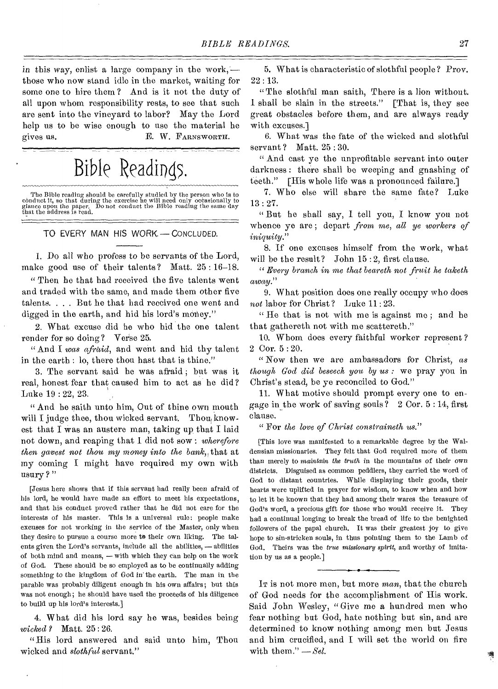in this way, enlist a large company in the work, those who now stand idle in the market, waiting for some one to hire them ? And is it not the duty of all upon whom responsibility rests, to see that such are sent into the vineyard to labor? May the Lord help us to be wise enough to use the material he gives us. E. W. FARNSWORTH.

### Bible Readings.

The Bible reading should be carefully studied by the person who is to conduct it, so that during the exercise he will need only occasionally to glance upon the paper. Do not conduct the Bible reading the same day that the

TO EVERY MAN HIS WORK. — CONCLUDED.

1. Do all who profess to be servants of the Lord, make good use of their talents? Matt. 25 : 16-18.

" Then he that had received the five talents went and traded with the same, and made them other five talents. . . . But he that had received one went and digged in the earth, and hid his lord's money."

2. What excuse did he who hid the one talent render for so doing? Verse 25.

" And I *was afraid,* and went and hid thy talent in the earth : lo, there thou hast that is thine."

3. The servant said he was afraid ; but was it real, honest fear that caused him to act as he did? Luke 19 : 22, 23.

" And he saith unto him, Out of thine own mouth will I judge thee, thou wicked servant. Thou knowest that I was an austere man, taking up that I laid not down, and reaping that I did not sow : *wherefore then gavest not thou my money into the bank*, that at my coming I might have required my own with usury ?"

[Jesus here shows that if this servant had really been afraid of his lord, he would have made an effort to meet his expectations, and that his conduct proved rather that he did not care for the interests of his master. This is a universal rule: people make excuses for not working in the service of the Master, only when they desire to pursue a course more to their own liking. The talents given the Lord's servants, include all the abilities, — abilities of both mind and means, — with which they can help on the work of God. These should be so employed as to be continually adding something to the kingdom of God in'the earth. The man in the parable was probably diligent enough in his own affairs; but this was not enough; he should have used the proceeds of his diligence to build up his lord's interests.]

4. What did his lord say he was, besides being *wicked ?* Matt. 25 : 26.

"His lord answered and said unto him, Thou wicked and *slothful* servant."

5. What is characteristic of slothful people ? Prov. 22 : 13.

"The slothful man saith, There is a lion without. I shall be slain in the streets." [That is, they see great obstacles before them, and are always ready with excuses.]

6. What was the fate of the wicked and slothful servant? Matt. 25:30.

" And cast ye the unprofitable servant into outer darkness : there shall be weeping and gnashing of teeth." [His whole life was a pronounced failure.]

7. Who else will share the same fate? Luke 13 : 27.

" But he shall say, I tell you, I know you not whence ye are ; depart *from me, all ye workers of iniquity."* 

8. If one excuses himself from the work, what will be the result? John  $15:2$ , first clause.

*" Every branch in one that beareth not fruit he taketh away."* 

9. What position does one really occupy who does *not* labor for Christ ? Luke 11 : 23.

" He that is not with me is against me ; and he that gathereth not with me scatteretb."

10. Whom does every faithful worker represent ? 2 Cor. 5 : 20.

" Now then we are ambassadors for Christ, *as though God did beseech you by us :* we pray you in Christ's stead, be ye reconciled to God."

11. What motive should prompt every one to engage in the work of saving souls?  $2$  Cor.  $5 : 14$ , first clause.

" For *the love of Christ constraineth us."* 

[This love was manifested to a remarkable degree by the Waldensian missionaries. They felt that God required more of them than merely to *maintain the truth* in the mountains of their own districts. Disguised as common peddlers, they carried the word of God to distant countries. While displaying their goods, their hearts were uplifted in prayer for wisdom, to know when and how to let it be known that they had among their wares the treasure of God's word, a precious gift for those who would receive it. They had a continual longing to break the bread of life to the benighted followers of the papal church. It was their greatest joy to give hope to sin-stricken souls, in thus pointing them to the Lamb of God. Theirs was the *true missionary spirit,* and worthy of imitation by us as a people.]

It is not more men, but more *man*, that the church of God needs for the accomplishment of His work. Said John Wesley, " Give me a hundred men who fear nothing but God, hate nothing but sin, and are determined to know nothing among men but Jesus and him crucified, and I will set the world on fire with them." - Sel.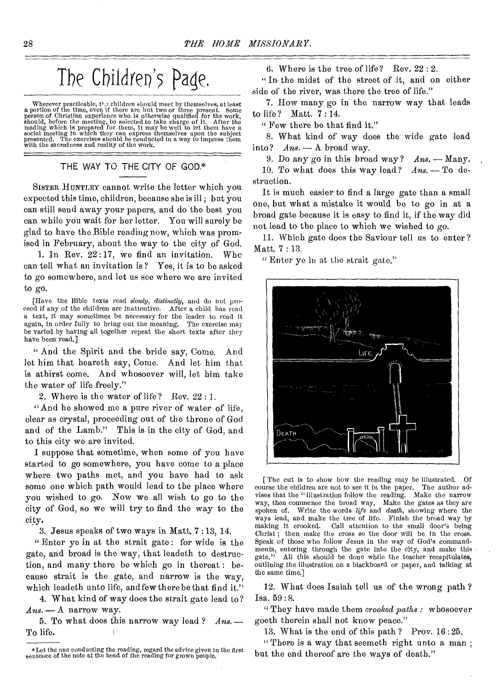### The Children's Page.

Wherever practicable, the cilldren should meet by themselves, at least<br>a portion of the time, even if there are but two or three present. Some<br>person of Christian experience who is otherwise qualified for the work,<br>should, presented. The exercises should be conduct with the sacredness and reality of the work.

#### THE WAY TO THE CITY OF GOD.\*

SISTER HUNTLEY cannot write the letter which you expected this time, children, because she is ill ; but you can still send away your papers, and do the best you can while you wait for her letter. You will surely be glad to have the Bible reading now, which was promised in February, about the way to the city of God.

1. In Rev.  $22:17$ , we find an invitation. Who can tell what an invitation is ? Yes, it is to be asked to go somewhere, and let us see where we are invited to go.

[Have the Bible texts read *slowly, distinctly,* and do not proceed if any of the children are inattentive. After a child has read a text, it may sometimes be necessary for the leader to read it again, in order fully to bring out the meaning. The exercise may be varied by having all together repeat the short texts after they have been read.]

" And the Spirit and the bride say, Come. And let him that heareth say, Come. And let him that is athirst come. And whosoever will, let him take the water of life freely."

2. Where is the water of life? Rev. 22 : I.

"And he showed me a pure river of water of life, clear as crystal, proceeding out of the throne of God and of the Lamb." This is in the city of God, and to this city we aro invited.

I suppose that sometime, when some of you have started to go somewhere, you have come to a place where two paths met, and you have had to ask some one which path would lead to the place where you wished to go. Now we all wish to go to the city of God, so we will try to find the way to the city.

3. Jesus speaks of two ways in Matt. 7 :13, 14.

" Enter ye in at the strait gate : for wide is the gate, and broad is the way, that leadeth to destruction, and many there be which go in thereat : because strait is the gate, and narrow is the way, which leadeth unto life, and few there be that find it."

4. What kind of way does the strait gate lead to? *Ans. —* A narrow way.

5. To what does this narrow way lead ? *Arts.* — To life.

6. Where is the tree of life? Rev.  $22:2$ .

" In the midst of the street of .it, and on either side of the river, was there the tree of life."

7. How many go in the narrow way that leads to life ? Matt. 7 : 14.

" Few there be that find it."

8. What kind of way does the wide gate lead into? *Ans. —* A. broad way.

9. Do any go in this broad way ? *Ans. —* Many. 10. To what does this way lead? *Ans. —* To destruction.

It is much easier to find a large gate than a small one, but what a mistake it would be to go in at a broad gate because it is easy to find it, if the way did not lead to the place to which we wished to go.

11. Which gate does the Saviour tell us to enter ? Matt. 7 : 13.

" Enter ye in at the strait gate."



[ The cut is to show how the reading may be illustrated. Of course the children are not to see it in the paper. The author advises that the "illustration follow the reading. Make the narrow way, then commence the broad way. Make the gates as they are spoken of. Write the words *life* and *death,* showing where the ways lead, and make the tree of life. Finish the broad way by making it crooked. Call attention to the small door's being Call attention to the small door's being Christ; then make the cross so the door will be in the cross. Speak of those who follow Jesus in the way of God's commandments, entering through the gate into the city, and make this gate." All this should be done while the teacher recapitulates, outlining the illustration on a blackboard or paper, and talking at the same time.]

12. What does Isaiah tell us of the wrong path ? Isa. 59:8.

"They have made them *crooked paths :* whosoever goeth therein shall not know peace."

13. What is the end of this path ? Prov. 16 :25.

" There is a way that seemeth right unto a man ; but the end thereof are the ways of death."

<sup>\*</sup>Let the one conducting the reading, regard the advice given in the first sentence of the note at the head of the reading for grown people.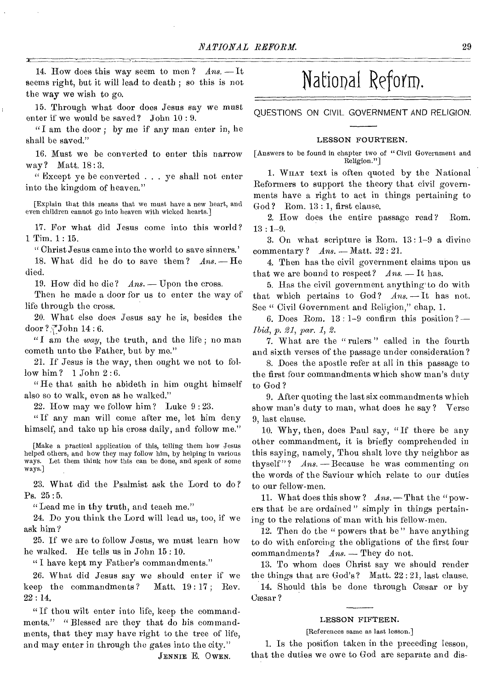14. How does this way seem to men? *Ans.* -- It seems right, but it will lead to death ; so this is not the way we wish to go.

15. Through what door does Jesus say we must enter if we would be saved? John 10 : 9.

"I am the door ; by me if any man enter in, he shall be saved."

16. Must we be converted to enter this narrow way? Matt. 18:3.

" Except ye be converted . . . ye shall not enter into the kingdom of heaven."

[Explain that this means that we must have a new heart, and even children cannot go into heaven with wicked hearts.]

17. For what did Jesus come into this world? 1 Tim. 1 : 15.

" Christ Jesus came into the world to save sinners.'

18. What did he do to save them?  $Ans. - He$ died.

19. How did he die? *Ans.* - Upon the cross.

Then he made a door for us to enter the *way* of life through the cross.

20. What else does Jesus *say* he is, besides the door ? $\sqrt{J}$ John 14 : 6.

"I am the *way,* the truth, and the life; no man cometh unto the Father, but by me."

21. If Jesus is the way, then ought we not to follow him? 1 John 2:6.

"He that saith he abideth in him ought himself also so to walk, even as he walked."

22. How may we follow him? Luke 9 : 23.

" If any man will come after me, let him deny himself, and take up his cross daily, and follow me."

[Make a practical application of this, telling them how Jesus helped others, and how they may follow him, by helping in various ways. Let them think how this can be done, and speak of some ways.]

23. What did the Psalmist ask the Lord to do? Ps. 25:5.

"Lead me in thy truth, and teach me."

24. Do you think the Lord will lead us, too, if we ask him?

25. If we are to follow Jesus, we must learn how he walked. He tells us in John 15 : 10.

" I have kept my Father's commandments."

26. What did Jesus say we should enter if we keep the commandments ? Matt. 19 : 17 ; Rev. 22 : 14.

"If thou wilt enter into life, keep the commandments." "Blessed are they that do his commandments, that they may have right to the tree of life, and may enter in through the gates into the city."

#### JENNIE E. OWEN.

### National Reform.

QUESTIONS ON CIVIL GOVERNMENT AND RELIGION.

#### LESSON FOURTEEN.

[Answers to be found in chapter two of " Civil Government and Religion."]

1. WHAT text is often quoted by the National Reformers to support the theory that civil governments have a right to act in things pertaining to God? Rom. 13 : 1, first clause.

2. How does the entire passage read? Rom. 13 : 1-9.

3. On what scripture is Rom. 13 : 1-9 a divine commentary? *Ans.* - Matt. 22:21.

4. Then has the civil government claims upon us that we are bound to respect?  $Ans. = It$  has.

5. Has the civil government anything to do with that which pertains to God?  $Ans. -It$  has not. See " Civil Government and Religion," chap. 1.

6. Does Rom. 13 : 1-9 confirm this position ? *- Ibid, p. 21, par. 1, 2.* 

7. What are the " rulers " called in the fourth and sixth verses of the passage under consideration ?

8. Does the apostle refer at all in this passage to the first four commandments which show man's duty to God ?

9. After quoting the last six commandments which show man's duty to man, what does he say? Verse 9, last clause.

10. Why, then, does Paul say, "If there be any other commandment, it is briefly comprehended in this saying, namely, Thou shalt love thy neighbor as thyself"? *Ans. - Because* he was commenting on the words of the Saviour which relate to our duties to our fellow-men.

11. What does this show? *Ans.* - That the "powers that be are ordained " simply in things pertaining to the relations of man with his fellow-men.

12. Then do the " powers that be " have anything to do with enforcing the obligations of the first four commandments? *Ans.* - They do not.

13. To whom does Christ say we should render the things that are God's? Matt. 22 : 21, last clause.

14. Should this be done through Caesar or by Cæsar?

#### LESSON FIFTEEN.

[References same as last lesson.]

1. Is the position taken in the preceding lesson, that the duties we owe to God are separate and dis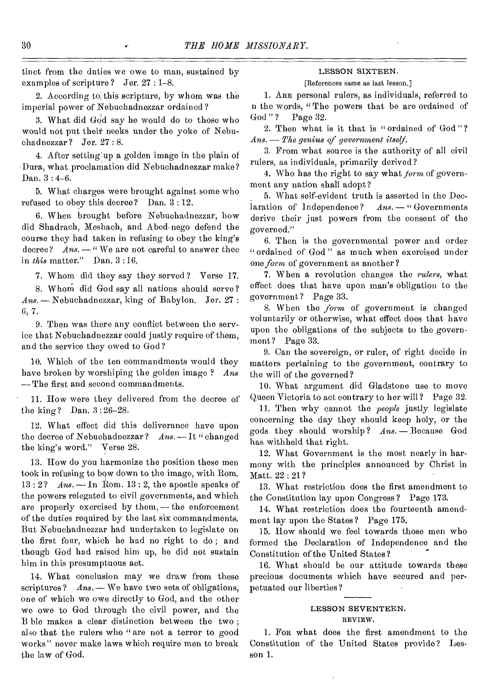tinct from the duties we owe to man, sustained by examples of scripture ? Jer. 27 : 1-8.

2. According to, this scripture, by whom was the imperial power of Nebuchadnezzar ordained ?

3. What did God say he would do to those who would not put their necks under the yoke of Nebuchadnezzar ? Jer. 27 : 8.

4. After setting'up a golden image in the plain of Dura, what, proclamation did Nebuchadnezzar make? Dan. 3:4-6.

5. What charges were brought against some who refused to obey this decree? Dan.  $3:12$ .

6. When brought before Nebuchadnezzar, how did Shadrach, Meshaeh, and Abed-nego defend the course they had taken in refusing to obey the king's decree? *Ans.* - "We are not careful to answer thee in *this* matter." Dan. 3 : 16.

7. Whom did they say they served ? Verse 17.

8. Whom did God say all nations should serve? *Ans. - Nebuchadnezzar,* king of Babylon. Jer. 27 : 6,7.

9. Then was there any conflict between the service that Nebuchadnezzar could justly require of them, and the service they owed to God

10. Which of the ten commandments would they have broken by worshiping the golden image ? *Ans*  -The first and second commandments.

11. How were they delivered from the decree of the king? Dan. 3:26-28.

12. What effect did this deliverance have upon the decree of Nebuchadnezzar? *Ans.* - It "changed the king's word." Verse 28.

13. How do you harmonize the position these men took in refusing to bow down to the image, with Rom. 13 : 2? *Ans. -* In Rom. 13 : 2, the apostle speaks of the powers relegated to civil governments, and which are properly exercised by them,  $-$  the enforcement of the duties required by the last six commandments. But Nebuchadnezzar had undertaken to legislate on the first four, which he had no right to do ; and though God had raised him up, he did not sustain him in this presumptuous act.

14. What conclusion may we draw from these scriptures ? *Ans.* - We have two sets of obligations, one of which we owe directly to God, and the other we owe to God through the civil power, and the B hie makes a clear distinction between the two ; also that the rulers who "are not a terror to good works" never make laws which require men to break the law of God.

#### LESSON SIXTEEN.

#### [References same as last lesson.]

1. ARE personal rulers, as individuals, referred to n the words, "The powers that be are ordained of God"? Page 32. Page 32.

2. Then what is it that is "ordained of God " ? *Ans. - The genius of government itself.* 

3. From what source is the authority of all civil rulers, as individuals, primarily derived?

4. Who has the right to say what *form* of government any nation shall adopt?

5. What self-evident truth is asserted in the Declaration of Independence? *Ans.* - "Governments derive their just powers from the consent of the governed."

6. Then is the governmental power and order " ordained of God " as much when exercised under one *form* of government as another?

7. When a revolution changes the *rulers,* what effect does that have upon man's obligation to the government? Page 33.

S. When the *form* of government is changed voluntarily or otherwise, what effect does that have upon the obligations of the subjects to the government? Page 33.

9. Can the sovereign, or ruler, of right decide in matters pertaining to the government, contrary to the will of the governed ?

10. What argument did Gladstone use to move Queen Victoria to act contrary to her will? Page 32,

11. Then why cannot the *people* justly legislate concerning the day they should keep holy, or the gods they should worship ? *Ans.-Because* God has withheld that right.

12. What Government is the most nearly in harmony with the principles announced by Christ in Matt. 22 : 21?

13, What restriction does the first amendment to the Constitution lay upon Congress ? Page 173.

14. What restriction does the fourteenth amendment lay upon the States? Page 175.

15, How should we feel towards those men who formed the Declaration of Independence and the Constitution of the United States?

16. What should be our attitude towards these precious documents which have secured and perpetuated our liberties ?

#### LESSON SEVENTEEN.

#### REVIEW.

1. FOR what does the first amendment to the Constitution of the United States provide ? Lesson 1.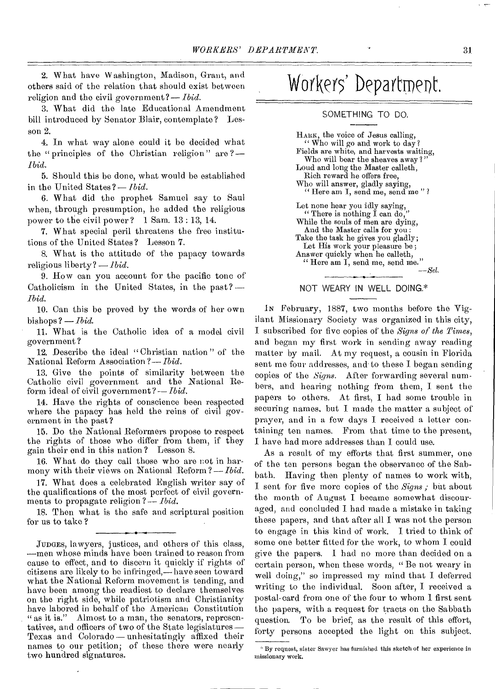2. What have Washington, Madison, Grant, and others said of the relation that should exist between religion and the civil government*?—Ibid.* 

3. What did the late Educational Amendment bill introduced by Senator Blair, contemplate? Lesson 2.

4. In what way alone could it be decided what the " principles of the Christian religion " are *?— Ibid.* 

5. Should this be done, what would be established in the United States ?— *Ibid.* 

6. What did the prophet Samuel say to Saul when, through presumption, he added the religious power to the civil power? 1 Sam. 13 : 13, 14.

7. What special peril threatens the free institutions of the United States ? Lesson *7.* 

8. What is the attitude of the papacy towards religious liberty? — *Ibid.* 

9. How can you account for the pacific tone of Catholicism in the United States, in the past? *Ibid.* 

10. Can this be proved by the words of her own bishops ? — *Ibid.* 

11. What is the Catholic idea of a model civil government ?

12. Describe the ideal " Christian nation " of the National Reform Association ?— *Ibid.* 

13, Give the points of similarity between the Catholic civil government and the National Reform ideal of civil government? -- *Ibid.* 

14. Have the rights of conscience been respected where the papacy has held the reins of civil government in the past?

15. Do the National Reformers propose to respect the rights of those who differ from them, if they gain their end in this nation? Lesson 8.

16. What do they call those who are not in harmony with their views on National Reform ?— *Ibid.* 

17. What does a celebrated English writer say of the qualifications of the most perfect of civil governments to propagate religion ? — *Ibid.* 

18. Then what is the safe and scriptural position for us to take ?

## Workers' Department.

#### SOMETHING TO DO.

HARK, the voice of Jesus calling, " Who will go and work to day? Fields are white, and harvests waiting, Who will bear the sheaves away?" Loud and long the Master calleth, Rich reward he offers free, Who will answer, gladly saying, "Here am I, send me, send me"? Let none hear you idly saying, " There is nothing  $\tilde{I}$  can do, While the souls of men are dying, And the Master calls for you : Take the task he gives you gladly; Let His work your pleasure be ; Answer quickly when he calleth, " Here am I, send me, send me." *—Set.* 

#### NOT WEARY IN WELL DOING.\*

IN February, 1887, two months before the Vigilant Missionary Society was organized in this city, I subscribed for five copies of the *Signs of the Times,*  and began my first work in sending away reading matter by mail. At my request, a cousin in Florida sent me four addresses, and to these I began sending copies of the *Signs.* After forwarding several numbers, and hearing nothing from them, I sent the papers to others. At first, I had some trouble in securing names, but I made the matter a subject of prayer, and in a few days I received a letter containing ten names. From that time to the present, I have had more addresses than I could use.

As a result of my efforts that first summer, one of the ten persons began the observance of the Sabbath. Having then plenty of names to work with, I sent for five more copies of the *Signs;* but about the month of August I became somewhat discouraged, and concluded I had made a mistake in taking these papers, and that after all I was not the person to engage in this kind of work. I tried to think of some one better fitted for the work, to whom I could give the papers. I had no more than decided on a certain person, when these words, " Be not weary in well doing," so impressed my mind that I deferred writing to the individual. Soon after, I received a postal-card from one of the four to whom I first sent the papers, with a request for tracts on the Sabbath question. To be brief, as the result of this effort, forty persons accepted the light on this subject.

JUDGES, lawyers, justices, and others of this class, —men whose minds have been trained to reason from cause to effect, and to discern it quickly if rights of citizens are likely to be infringed,— have seen toward what the National Reform movement is tending, and have been among the readiest to declare themselves on the right side, while patriotism and Christianity have labored in behalf of the American Constitution "as it is." Almost to a man, the senators, represen-Almost to a man, the senators, representatives, and officers of two of the State legislatures— Texas and Colorado — unhesitatingly affixed their names to our petition; of these there were nearly two hundred signatures.

<sup>&#</sup>x27; By request, sister Sawyer has furnished this sketch of her experience in missionary work.